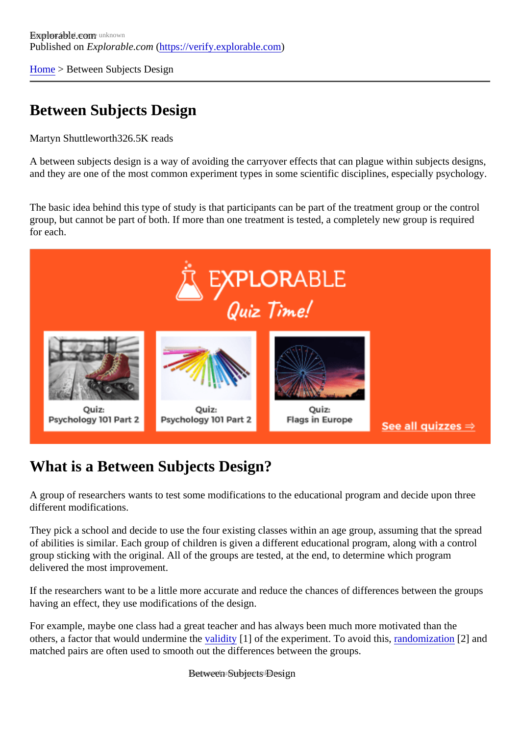[Home](https://verify.explorable.com/)> Between Subjects Design

## Between Subjects Design

Martyn Shuttlewort<sup>826.5K</sup> reads

A between subjects design is a way of avoiding the carryover effects that can plague within subjects design and they are one of the most common experiment types in some scientific disciplines, especially psychology.

The basic idea behind this type of study is that participants can be part of the treatment group or the control group, but cannot be part of both. If more than one treatment is tested, a completely new group is required for each.

## What is a Between Subjects Design?

A group of researchers wants to test some modifications to the educational program and decide upon three different modifications.

They pick a school and decide to use the four existing classes within an age group, assuming that the spre of abilities is similar. Each group of children is given a different educational program, along with a control group sticking with the original. All of the groups are tested, at the end, to determine which program delivered the most improvement.

If the researchers want to be a little more accurate and reduce the chances of differences between the group having an effect, they use modifications of the design.

For example, maybe one class had a great teacher and has always been much more motivated than the others, a factor that would undermine the didity [1] of the experiment. To avoid this and omization[2] and matched pairs are often used to smooth out the differences between the groups.

Between Subjects Design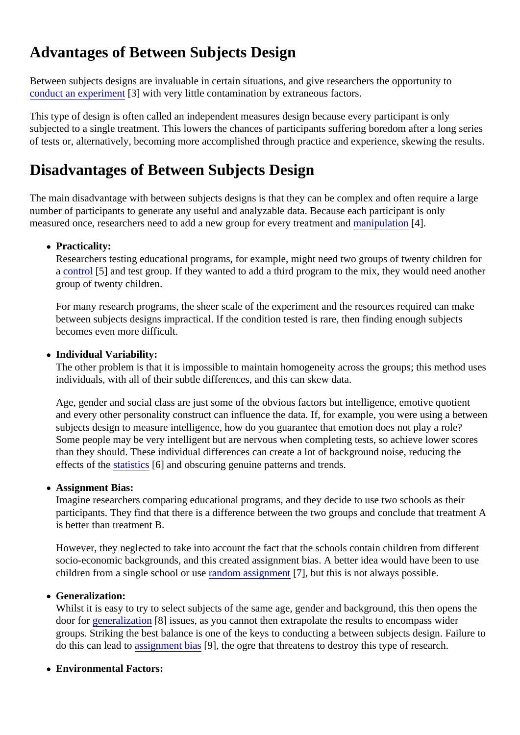## Advantages of Between Subjects Design

Between subjects designs are invaluable in certain situations, and give researchers the opportunity to [conduct an experime](https://verify.explorable.com/conducting-an-experiment)nt with very little contamination by extraneous factors.

This type of design is often called an independent measures design because every participant is only subjected to a single treatment. This lowers the chances of participants suffering boredom after a long ser of tests or, alternatively, becoming more accomplished through practice and experience, skewing the results.

## Disadvantages of Between Subjects Design

The main disadvantage with between subjects designs is that they can be complex and often require a lar number of participants to generate any useful and analyzable data. Because each participant is only measured once, researchers need to add a new group for every treatmentipulation[4].

• Practicality:

Researchers testing educational programs, for example, might need two groups of twenty children for a [control](https://verify.explorable.com/scientific-control-group)<sup>[5]</sup> and test group. If they wanted to add a third program to the mix, they would need anothe group of twenty children.

For many research programs, the sheer scale of the experiment and the resources required can mal between subjects designs impractical. If the condition tested is rare, then finding enough subjects becomes even more difficult.

• Individual Variability:

The other problem is that it is impossible to maintain homogeneity across the groups; this method us individuals, with all of their subtle differences, and this can skew data.

Age, gender and social class are just some of the obvious factors but intelligence, emotive quotient and every other personality construct can influence the data. If, for example, you were using a betwe subjects design to measure intelligence, how do you guarantee that emotion does not play a role? Some people may be very intelligent but are nervous when completing tests, so achieve lower score than they should. These individual differences can create a lot of background noise, reducing the effects of th[e statistics](https://verify.explorable.com/statistics-tutorial) [6] and obscuring genuine patterns and trends.

Assignment Bias:

Imagine researchers comparing educational programs, and they decide to use two schools as their participants. They find that there is a difference between the two groups and conclude that treatment is better than treatment B.

However, they neglected to take into account the fact that the schools contain children from different socio-economic backgrounds, and this created assignment bias. A better idea would have been to u children from a single school or usendom assignment, but this is not always possible.

Generalization:

Whilst it is easy to try to select subjects of the same age, gender and background, this then opens the door for [generalizatio](https://verify.explorable.com/what-is-generalization)n 8] issues, as you cannot then extrapolate the results to encompass wider groups. Striking the best balance is one of the keys to conducting a between subjects design. Failure do this can lead [to assignment bia](https://verify.explorable.com/sampling-error)<sup>n</sup>g, the ogre that threatens to destroy this type of research.

Environmental Factors: